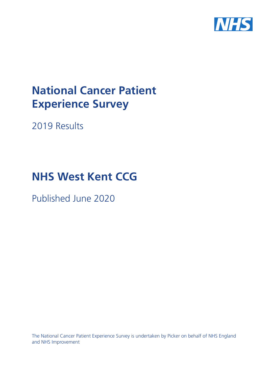

# **National Cancer Patient Experience Survey**

2019 Results

# **NHS West Kent CCG**

Published June 2020

The National Cancer Patient Experience Survey is undertaken by Picker on behalf of NHS England and NHS Improvement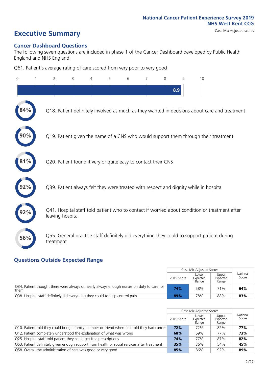# **Executive Summary** Case Mix Adjusted scores

#### **Cancer Dashboard Questions**

The following seven questions are included in phase 1 of the Cancer Dashboard developed by Public Health England and NHS England:

Q61. Patient's average rating of care scored from very poor to very good

| $\circ$ | $\overline{2}$                                                | 3 | 4 | 5 | 6 | 7 | 8 | 9   | 10                                                                                            |  |
|---------|---------------------------------------------------------------|---|---|---|---|---|---|-----|-----------------------------------------------------------------------------------------------|--|
|         |                                                               |   |   |   |   |   |   | 8.9 |                                                                                               |  |
|         |                                                               |   |   |   |   |   |   |     | Q18. Patient definitely involved as much as they wanted in decisions about care and treatment |  |
|         |                                                               |   |   |   |   |   |   |     | Q19. Patient given the name of a CNS who would support them through their treatment           |  |
| 81%     | Q20. Patient found it very or quite easy to contact their CNS |   |   |   |   |   |   |     |                                                                                               |  |
|         |                                                               |   |   |   |   |   |   |     | Q39. Patient always felt they were treated with respect and dignity while in hospital         |  |
|         | leaving hospital                                              |   |   |   |   |   |   |     | Q41. Hospital staff told patient who to contact if worried about condition or treatment after |  |
| 56%     | treatment                                                     |   |   |   |   |   |   |     | Q55. General practice staff definitely did everything they could to support patient during    |  |

### **Questions Outside Expected Range**

|                                                                                                   |            | Case Mix Adjusted Scores   |                            |                   |
|---------------------------------------------------------------------------------------------------|------------|----------------------------|----------------------------|-------------------|
|                                                                                                   | 2019 Score | Lower<br>Expected<br>Range | Upper<br>Expected<br>Range | National<br>Score |
| Q34. Patient thought there were always or nearly always enough nurses on duty to care for<br>them | 74%        | 58%                        | 71%                        | 64%               |
| Q38. Hospital staff definitely did everything they could to help control pain                     | 89%        | 78%                        | 88%                        | 83%               |

|                                                                                               |            | Case Mix Adjusted Scores   |                            |                   |
|-----------------------------------------------------------------------------------------------|------------|----------------------------|----------------------------|-------------------|
|                                                                                               | 2019 Score | Lower<br>Expected<br>Range | Upper<br>Expected<br>Range | National<br>Score |
| [Q10. Patient told they could bring a family member or friend when first told they had cancer | 72%        | 72%                        | 82%                        | 77%               |
| Q12. Patient completely understood the explanation of what was wrong                          | 68%        | 69%                        | 77%                        | 73%               |
| Q25. Hospital staff told patient they could get free prescriptions                            | 74%        | 77%                        | 87%                        | 82%               |
| Q53. Patient definitely given enough support from health or social services after treatment   | 35%        | 36%                        | 54%                        | 45%               |
| O58. Overall the administration of care was good or very good                                 | 85%        | 86%                        | 92%                        | 89%               |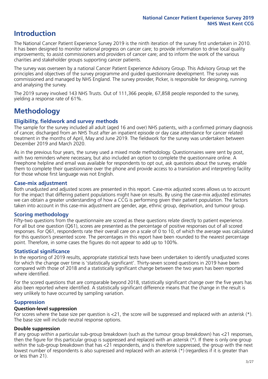# **Introduction**

The National Cancer Patient Experience Survey 2019 is the ninth iteration of the survey first undertaken in 2010. It has been designed to monitor national progress on cancer care; to provide information to drive local quality improvements; to assist commissioners and providers of cancer care; and to inform the work of the various charities and stakeholder groups supporting cancer patients.

The survey was overseen by a national Cancer Patient Experience Advisory Group. This Advisory Group set the principles and objectives of the survey programme and guided questionnaire development. The survey was commissioned and managed by NHS England. The survey provider, Picker, is responsible for designing, running and analysing the survey.

The 2019 survey involved 143 NHS Trusts. Out of 111,366 people, 67,858 people responded to the survey, yielding a response rate of 61%.

# **Methodology**

#### **Eligibility, fieldwork and survey methods**

The sample for the survey included all adult (aged 16 and over) NHS patients, with a confirmed primary diagnosis of cancer, discharged from an NHS Trust after an inpatient episode or day case attendance for cancer related treatment in the months of April, May and June 2019. The fieldwork for the survey was undertaken between December 2019 and March 2020.

As in the previous four years, the survey used a mixed mode methodology. Questionnaires were sent by post, with two reminders where necessary, but also included an option to complete the questionnaire online. A Freephone helpline and email was available for respondents to opt out, ask questions about the survey, enable them to complete their questionnaire over the phone and provide access to a translation and interpreting facility for those whose first language was not English.

#### **Case-mix adjustment**

Both unadjusted and adjusted scores are presented in this report. Case-mix adjusted scores allows us to account for the impact that differing patient populations might have on results. By using the case-mix adjusted estimates we can obtain a greater understanding of how a CCG is performing given their patient population. The factors taken into account in this case-mix adjustment are gender, age, ethnic group, deprivation, and tumour group.

#### **Scoring methodology**

Fifty-two questions from the questionnaire are scored as these questions relate directly to patient experience. For all but one question (Q61), scores are presented as the percentage of positive responses out of all scored responses. For Q61, respondents rate their overall care on a scale of 0 to 10, of which the average was calculated for this question's presented score. The percentages in this report have been rounded to the nearest percentage point. Therefore, in some cases the figures do not appear to add up to 100%.

#### **Statistical significance**

In the reporting of 2019 results, appropriate statistical tests have been undertaken to identify unadjusted scores for which the change over time is 'statistically significant'. Thirty-seven scored questions in 2019 have been compared with those of 2018 and a statistically significant change between the two years has been reported where identified.

For the scored questions that are comparable beyond 2018, statistically significant change over the five years has also been reported where identified. A statistically significant difference means that the change in the result is very unlikely to have occurred by sampling variation.

#### **Suppression**

#### **Question-level suppression**

For scores where the base size per question is  $<$ 21, the score will be suppressed and replaced with an asterisk (\*). The base size will include neutral response options.

#### **Double suppression**

If any group within a particular sub-group breakdown (such as the tumour group breakdown) has <21 responses, then the figure for this particular group is suppressed and replaced with an asterisk (\*). If there is only one group within the sub-group breakdown that has <21 respondents, and is therefore suppressed, the group with the next lowest number of respondents is also supressed and replaced with an asterisk (\*) (regardless if it is greater than or less than 21).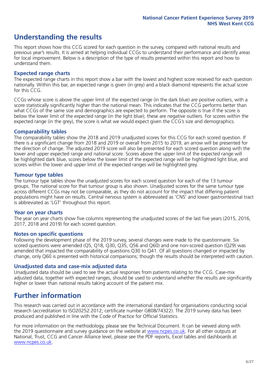# **Understanding the results**

This report shows how this CCG scored for each question in the survey, compared with national results and previous year's results. It is aimed at helping individual CCGs to understand their performance and identify areas for local improvement. Below is a description of the type of results presented within this report and how to understand them.

#### **Expected range charts**

The expected range charts in this report show a bar with the lowest and highest score received for each question nationally. Within this bar, an expected range is given (in grey) and a black diamond represents the actual score for this CCG.

CCGs whose score is above the upper limit of the expected range (in the dark blue) are positive outliers, with a score statistically significantly higher than the national mean. This indicates that the CCG performs better than what CCGs of the same size and demographics are expected to perform. The opposite is true if the score is below the lower limit of the expected range (in the light blue); these are negative outliers. For scores within the expected range (in the grey), the score is what we would expect given the CCG's size and demographics.

#### **Comparability tables**

The comparability tables show the 2018 and 2019 unadjusted scores for this CCG for each scored question. If there is a significant change from 2018 and 2019 or overall from 2015 to 2019, an arrow will be presented for the direction of change. The adjusted 2019 score will also be presented for each scored question along with the lower and upper expected range and national score. Scores above the upper limit of the expected range will be highlighted dark blue, scores below the lower limit of the expected range will be highlighted light blue, and scores within the lower and upper limit of the expected ranges will be highlighted grey.

#### **Tumour type tables**

The tumour type tables show the unadjusted scores for each scored question for each of the 13 tumour groups. The national score for that tumour group is also shown. Unadjusted scores for the same tumour type across different CCGs may not be comparable, as they do not account for the impact that differing patient populations might have on results. Central nervous system is abbreviated as 'CNS' and lower gastrointestinal tract is abbreviated as 'LGT' throughout this report.

#### **Year on year charts**

The year on year charts show five columns representing the unadjusted scores of the last five years (2015, 2016, 2017, 2018 and 2019) for each scored question.

#### **Notes on specific questions**

Following the development phase of the 2019 survey, several changes were made to the questionnaire. Six scored questions were amended (Q5, Q18, Q30, Q35, Q56 and Q60) and one non-scored question (Q29) was amended that impacted the comparability of questions Q30 to Q41. Of all questions changed or impacted by change, only Q60 is presented with historical comparisons; though the results should be interpreted with caution.

#### **Unadjusted data and case-mix adjusted data**

Unadjusted data should be used to see the actual responses from patients relating to the CCG. Case-mix adjusted data, together with expected ranges, should be used to understand whether the results are significantly higher or lower than national results taking account of the patient mix.

### **Further information**

This research was carried out in accordance with the international standard for organisations conducting social research (accreditation to ISO20252:2012; certificate number GB08/74322). The 2019 survey data has been produced and published in line with the Code of Practice for Official Statistics.

For more information on the methodology, please see the Technical Document. It can be viewed along with the 2019 questionnaire and survey quidance on the website at [www.ncpes.co.uk](https://www.ncpes.co.uk/supporting-documents). For all other outputs at National, Trust, CCG and Cancer Alliance level, please see the PDF reports, Excel tables and dashboards at [www.ncpes.co.uk.](https://www.ncpes.co.uk/current-results)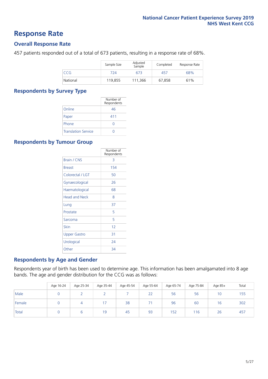### **Response Rate**

#### **Overall Response Rate**

457 patients responded out of a total of 673 patients, resulting in a response rate of 68%.

|            | Sample Size | Adjusted<br>Sample | Completed | Response Rate |
|------------|-------------|--------------------|-----------|---------------|
| <b>CCG</b> | 724         | 673                | 457       | 68%           |
| National   | 119.855     | 111.366            | 67.858    | 61%           |

#### **Respondents by Survey Type**

|                            | Number of<br>Respondents |
|----------------------------|--------------------------|
| Online                     | 46                       |
| Paper                      | 411                      |
| Phone                      |                          |
| <b>Translation Service</b> |                          |

#### **Respondents by Tumour Group**

|                      | Number of<br>Respondents |
|----------------------|--------------------------|
| <b>Brain / CNS</b>   | 3                        |
| <b>Breast</b>        | 154                      |
| Colorectal / LGT     | 50                       |
| Gynaecological       | 26                       |
| Haematological       | 68                       |
| <b>Head and Neck</b> | 8                        |
| Lung                 | 37                       |
| Prostate             | 5                        |
| Sarcoma              | 5                        |
| Skin                 | 12                       |
| Upper Gastro         | 31                       |
| Urological           | 24                       |
| Other                | 34                       |

#### **Respondents by Age and Gender**

Respondents year of birth has been used to determine age. This information has been amalgamated into 8 age bands. The age and gender distribution for the CCG was as follows:

|        | Age 16-24 | Age 25-34 | Age 35-44 | Age 45-54 | Age 55-64 | Age 65-74 | Age 75-84 | Age 85+ | Total |
|--------|-----------|-----------|-----------|-----------|-----------|-----------|-----------|---------|-------|
| Male   |           |           |           |           | 22        | 56        | 56        | 10      | 155   |
| Female |           |           |           | 38        | ÷         | 96        | 60        | 16      | 302   |
| Total  |           |           | 19        | 45        | 93        | 152       | 116       | 26      | 457   |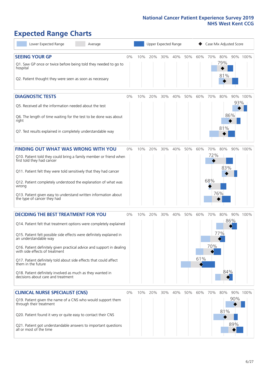# **Expected Range Charts**

| Lower Expected Range<br>Average                                                                                                                                                                                                                                                                                                                                                                                                                                                                                             |       |     | Upper Expected Range |     |     |     |            | Case Mix Adjusted Score |                   |            |          |
|-----------------------------------------------------------------------------------------------------------------------------------------------------------------------------------------------------------------------------------------------------------------------------------------------------------------------------------------------------------------------------------------------------------------------------------------------------------------------------------------------------------------------------|-------|-----|----------------------|-----|-----|-----|------------|-------------------------|-------------------|------------|----------|
| <b>SEEING YOUR GP</b><br>Q1. Saw GP once or twice before being told they needed to go to<br>hospital<br>Q2. Patient thought they were seen as soon as necessary                                                                                                                                                                                                                                                                                                                                                             | 0%    | 10% | 20%                  | 30% | 40% | 50% | 60%        | 70%                     | 80%<br>79%<br>81% |            | 90% 100% |
| <b>DIAGNOSTIC TESTS</b><br>Q5. Received all the information needed about the test<br>Q6. The length of time waiting for the test to be done was about<br>right<br>Q7. Test results explained in completely understandable way                                                                                                                                                                                                                                                                                               | $0\%$ | 10% | 20%                  | 30% | 40% | 50% | 60%        | 70%                     | 80%<br>81%        | 93%<br>86% | 90% 100% |
| <b>FINDING OUT WHAT WAS WRONG WITH YOU</b><br>Q10. Patient told they could bring a family member or friend when<br>first told they had cancer<br>Q11. Patient felt they were told sensitively that they had cancer<br>Q12. Patient completely understood the explanation of what was<br>wrong<br>Q13. Patient given easy to understand written information about<br>the type of cancer they had                                                                                                                             | $0\%$ | 10% | 20%                  | 30% | 40% | 50% | 60%        | 70%<br>72%<br>68%       | 80%<br>83%<br>76% |            | 90% 100% |
| <b>DECIDING THE BEST TREATMENT FOR YOU</b><br>Q14. Patient felt that treatment options were completely explained<br>Q15. Patient felt possible side effects were definitely explained in<br>an understandable way<br>Q16. Patient definitely given practical advice and support in dealing<br>with side effects of treatment<br>Q17. Patient definitely told about side effects that could affect<br>them in the future<br>Q18. Patient definitely involved as much as they wanted in<br>decisions about care and treatment | 0%    | 10% | 20%                  | 30% | 40% | 50% | 60%<br>61% | 70%<br>70%              | 80%<br>77%<br>84% | 86%        | 90% 100% |
| <b>CLINICAL NURSE SPECIALIST (CNS)</b><br>Q19. Patient given the name of a CNS who would support them<br>through their treatment<br>Q20. Patient found it very or quite easy to contact their CNS<br>Q21. Patient got understandable answers to important questions<br>all or most of the time                                                                                                                                                                                                                              | 0%    | 10% | 20%                  | 30% | 40% | 50% | 60%        | 70%                     | 80%<br>81%        | 90%<br>89% | 90% 100% |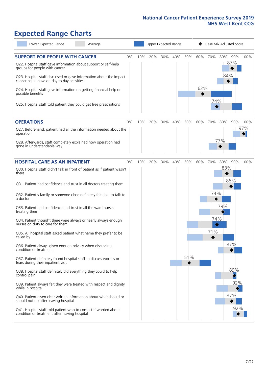# **Expected Range Charts**

| Lower Expected Range<br>Average                                                                                                                                                                                                                                                                                                                                                                                               |    |     |     |     | Upper Expected Range |     |            |            | Case Mix Adjusted Score |          |
|-------------------------------------------------------------------------------------------------------------------------------------------------------------------------------------------------------------------------------------------------------------------------------------------------------------------------------------------------------------------------------------------------------------------------------|----|-----|-----|-----|----------------------|-----|------------|------------|-------------------------|----------|
| <b>SUPPORT FOR PEOPLE WITH CANCER</b><br>Q22. Hospital staff gave information about support or self-help<br>groups for people with cancer<br>Q23. Hospital staff discussed or gave information about the impact<br>cancer could have on day to day activities<br>Q24. Hospital staff gave information on getting financial help or<br>possible benefits<br>Q25. Hospital staff told patient they could get free prescriptions | 0% | 10% | 20% | 30% | 40%                  | 50% | 60%<br>62% | 70%<br>74% | 80%<br>87%<br>84%       | 90% 100% |
| <b>OPERATIONS</b>                                                                                                                                                                                                                                                                                                                                                                                                             | 0% | 10% | 20% | 30% | 40%                  | 50% | 60%        | 70%        | 80%                     | 90% 100% |
| Q27. Beforehand, patient had all the information needed about the<br>operation                                                                                                                                                                                                                                                                                                                                                |    |     |     |     |                      |     |            |            |                         | 97%      |
| Q28. Afterwards, staff completely explained how operation had<br>gone in understandable way                                                                                                                                                                                                                                                                                                                                   |    |     |     |     |                      |     |            |            | 77%                     |          |
| <b>HOSPITAL CARE AS AN INPATIENT</b>                                                                                                                                                                                                                                                                                                                                                                                          | 0% | 10% | 20% | 30% | 40%                  | 50% | 60%        | 70%        | 80%                     | 90% 100% |
| Q30. Hospital staff didn't talk in front of patient as if patient wasn't<br>there<br>Q31. Patient had confidence and trust in all doctors treating them                                                                                                                                                                                                                                                                       |    |     |     |     |                      |     |            |            | 83%<br>86%              |          |
| Q32. Patient's family or someone close definitely felt able to talk to<br>a doctor                                                                                                                                                                                                                                                                                                                                            |    |     |     |     |                      |     |            | 74%        |                         |          |
| Q33. Patient had confidence and trust in all the ward nurses<br>treating them                                                                                                                                                                                                                                                                                                                                                 |    |     |     |     |                      |     |            |            | 79%                     |          |
| Q34. Patient thought there were always or nearly always enough<br>nurses on duty to care for them                                                                                                                                                                                                                                                                                                                             |    |     |     |     |                      |     |            | 74%<br>♦   |                         |          |
| Q35. All hospital staff asked patient what name they prefer to be<br>called by                                                                                                                                                                                                                                                                                                                                                |    |     |     |     |                      |     |            | 71%        |                         |          |
| Q36. Patient always given enough privacy when discussing<br>condition or treatment                                                                                                                                                                                                                                                                                                                                            |    |     |     |     |                      |     |            |            | 87%                     |          |
| Q37. Patient definitely found hospital staff to discuss worries or<br>fears during their inpatient visit                                                                                                                                                                                                                                                                                                                      |    |     |     |     |                      | 51% |            |            |                         |          |
| Q38. Hospital staff definitely did everything they could to help<br>control pain                                                                                                                                                                                                                                                                                                                                              |    |     |     |     |                      |     |            |            | 89%                     |          |
| Q39. Patient always felt they were treated with respect and dignity<br>while in hospital                                                                                                                                                                                                                                                                                                                                      |    |     |     |     |                      |     |            |            | 92%                     |          |
| Q40. Patient given clear written information about what should or<br>should not do after leaving hospital                                                                                                                                                                                                                                                                                                                     |    |     |     |     |                      |     |            |            | 87%                     |          |
| Q41. Hospital staff told patient who to contact if worried about<br>condition or treatment after leaving hospital                                                                                                                                                                                                                                                                                                             |    |     |     |     |                      |     |            |            | 92%                     |          |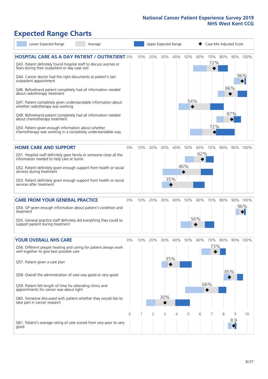# **Expected Range Charts**

| Lower Expected Range<br>Average                                                                                                                                                                                                                                                                                                                                                                                                                             |                |     |          |                 | Upper Expected Range |            |            |                          |          | Case Mix Adjusted Score |                 |
|-------------------------------------------------------------------------------------------------------------------------------------------------------------------------------------------------------------------------------------------------------------------------------------------------------------------------------------------------------------------------------------------------------------------------------------------------------------|----------------|-----|----------|-----------------|----------------------|------------|------------|--------------------------|----------|-------------------------|-----------------|
| <b>HOSPITAL CARE AS A DAY PATIENT / OUTPATIENT 0%</b><br>Q43. Patient definitely found hospital staff to discuss worries or<br>fears during their outpatient or day case visit<br>Q44. Cancer doctor had the right documents at patient's last                                                                                                                                                                                                              |                | 10% | 20%      | 30%             | 40%                  | 50%        | 60%        | 72%                      | 70% 80%  |                         | 90% 100%<br>96% |
| outpatient appointment<br>Q46. Beforehand patient completely had all information needed<br>about radiotherapy treatment<br>Q47. Patient completely given understandable information about                                                                                                                                                                                                                                                                   |                |     |          |                 |                      | 54%        |            |                          |          | 86%                     |                 |
| whether radiotherapy was working<br>Q49. Beforehand patient completely had all information needed<br>about chemotherapy treatment<br>Q50. Patient given enough information about whether                                                                                                                                                                                                                                                                    |                |     |          |                 |                      |            |            | 72%                      |          | 87%                     |                 |
| chemotherapy was working in a completely understandable way                                                                                                                                                                                                                                                                                                                                                                                                 |                |     |          |                 |                      |            |            |                          |          |                         |                 |
| <b>HOME CARE AND SUPPORT</b><br>Q51. Hospital staff definitely gave family or someone close all the<br>information needed to help care at home<br>Q52. Patient definitely given enough support from health or social<br>services during treatment<br>Q53. Patient definitely given enough support from health or social<br>services after treatment                                                                                                         | 0%             | 10% | 20%      | 30%             | 40%<br>35%           | 50%<br>46% | 60%<br>62% | 70%                      | 80%      |                         | 90% 100%        |
| <b>CARE FROM YOUR GENERAL PRACTICE</b><br>Q54. GP given enough information about patient's condition and<br>treatment<br>Q55. General practice staff definitely did everything they could to<br>support patient during treatment                                                                                                                                                                                                                            | 0%             | 10% | 20%      | 30%             | 40%                  | 50%        | 60%<br>56% | 70%                      | 80%      |                         | 90% 100%<br>96% |
| <b>YOUR OVERALL NHS CARE</b><br>Q56. Different people treating and caring for patient always work<br>well together to give best possible care<br>Q57. Patient given a care plan<br>Q58. Overall the administration of care was good or very good<br>Q59. Patient felt length of time for attending clinics and<br>appointments for cancer was about right<br>Q60. Someone discussed with patient whether they would like to<br>take part in cancer research | 0%<br>$\Omega$ | 10% | 20%<br>2 | 30%<br>30%<br>3 | 40%<br>35%<br>4      | 50%<br>5   | 60%<br>6   | 70%<br>73%  <br>66%<br>7 | 80%<br>8 | 85%<br>9                | 90% 100%<br>10  |
| Q61. Patient's average rating of care scored from very poor to very<br>good                                                                                                                                                                                                                                                                                                                                                                                 |                |     |          |                 |                      |            |            |                          |          | 8.9                     |                 |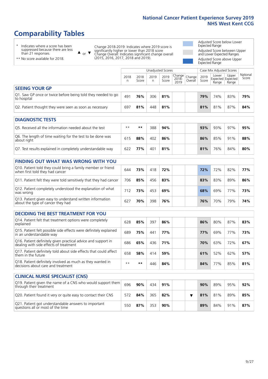# **Comparability Tables**

\* Indicates where a score has been suppressed because there are less than 21 responses.

\*\* No score available for 2018.

 $\triangle$  or  $\nabla$ 

Change 2018-2019: Indicates where 2019 score is significantly higher or lower than 2018 score Change Overall: Indicates significant change overall (2015, 2016, 2017, 2018 and 2019).

Adjusted Score below Lower Expected Range Adjusted Score between Upper and Lower Expected Ranges Adjusted Score above Upper

Expected Range

|                                                                             |           |               | Unadjusted Scores |               |                                                     |         |               | Case Mix Adjusted Scores |                                     |                   |
|-----------------------------------------------------------------------------|-----------|---------------|-------------------|---------------|-----------------------------------------------------|---------|---------------|--------------------------|-------------------------------------|-------------------|
|                                                                             | 2018<br>n | 2018<br>Score | 2019<br>n         | 2019<br>Score | $\sqrt{(\text{Change})}$ Change<br>$2018 -$<br>2019 | Overall | 2019<br>Score | Lower<br>Range           | Upper<br>Expected Expected<br>Range | National<br>Score |
| <b>SEEING YOUR GP</b>                                                       |           |               |                   |               |                                                     |         |               |                          |                                     |                   |
| Q1. Saw GP once or twice before being told they needed to go<br>to hospital | 491       | 76%           | 306               | 81%           |                                                     |         | 79%           | 74%                      | 83%                                 | 79%               |
| Q2. Patient thought they were seen as soon as necessary                     | 697       | 81%           | 448               | 81%           |                                                     |         | 81%           | 81%                      | 87%                                 | 84%               |
|                                                                             |           |               |                   |               |                                                     |         |               |                          |                                     |                   |
| DIAGNOSTIC TESTS                                                            |           |               |                   |               |                                                     |         |               |                          |                                     |                   |

| <b>PIASIVOJIJE I LJIJ</b>                                                 |      |     |     |     |  |  |     |     |     |     |  |  |  |
|---------------------------------------------------------------------------|------|-----|-----|-----|--|--|-----|-----|-----|-----|--|--|--|
| O5. Received all the information needed about the test                    | $**$ | **  | 388 | 94% |  |  | 93% | 93% | 97% | 95% |  |  |  |
| Q6. The length of time waiting for the test to be done was<br>about right | 615  | 88% | 402 | 86% |  |  | 86% | 85% | 91% | 88% |  |  |  |
| Q7. Test results explained in completely understandable way               | 622  | 77% | 401 | 81% |  |  | 81% | 76% | 84% | 80% |  |  |  |

| <b>FINDING OUT WHAT WAS WRONG WITH YOU</b>                                                      |     |     |     |     |     |     |     |     |
|-------------------------------------------------------------------------------------------------|-----|-----|-----|-----|-----|-----|-----|-----|
| Q10. Patient told they could bring a family member or friend<br>when first told they had cancer | 644 | 73% | 418 | 72% | 72% | 72% | 82% | 77% |
| Q11. Patient felt they were told sensitively that they had cancer                               | 706 | 85% | 456 | 83% | 83% | 83% | 89% | 86% |
| Q12. Patient completely understood the explanation of what<br>was wrong                         | 712 | 73% | 453 | 69% | 68% | 69% | 77% | 73% |
| Q13. Patient given easy to understand written information<br>about the type of cancer they had  | 627 | 70% | 398 | 76% | 76% | 70% | 79% | 74% |

| <b>DECIDING THE BEST TREATMENT FOR YOU</b>                                                              |      |     |     |     |  |     |     |     |     |
|---------------------------------------------------------------------------------------------------------|------|-----|-----|-----|--|-----|-----|-----|-----|
| Q14. Patient felt that treatment options were completely<br>explained                                   | 628  | 85% | 397 | 86% |  | 86% | 80% | 87% | 83% |
| Q15. Patient felt possible side effects were definitely explained<br>in an understandable way           | 689  | 75% | 441 | 77% |  | 77% | 69% | 77% | 73% |
| Q16. Patient definitely given practical advice and support in<br>dealing with side effects of treatment | 686  | 65% | 436 | 71% |  | 70% | 63% | 72% | 67% |
| Q17. Patient definitely told about side effects that could affect<br>them in the future                 | 658  | 58% | 414 | 59% |  | 61% | 52% | 62% | 57% |
| Q18. Patient definitely involved as much as they wanted in<br>decisions about care and treatment        | $**$ | **  | 446 | 84% |  | 84% | 77% | 85% | 81% |

| <b>CLINICAL NURSE SPECIALIST (CNS)</b>                                                    |     |     |     |     |  |     |     |     |     |
|-------------------------------------------------------------------------------------------|-----|-----|-----|-----|--|-----|-----|-----|-----|
| Q19. Patient given the name of a CNS who would support them<br>through their treatment    | 696 | 90% | 434 | 91% |  | 90% | 89% | 95% | 92% |
| Q20. Patient found it very or quite easy to contact their CNS                             | 572 | 84% | 365 | 82% |  | 81% | 81% | 89% | 85% |
| Q21. Patient got understandable answers to important<br>questions all or most of the time | 550 | 87% | 353 | 90% |  | 89% | 84% | 91% | 87% |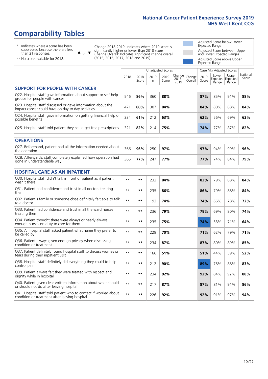# **Comparability Tables**

\* Indicates where a score has been suppressed because there are less than 21 responses.

\*\* No score available for 2018.

 $\triangle$  or  $\nabla$ 

Change 2018-2019: Indicates where 2019 score is significantly higher or lower than 2018 score Change Overall: Indicates significant change overall (2015, 2016, 2017, 2018 and 2019).

Adjusted Score below Lower Expected Range Adjusted Score between Upper and Lower Expected Ranges Adjusted Score above Upper Expected Range

|                                                                                                                   |              |               |            | <b>Unadjusted Scores</b> |                         |                   |               | Case Mix Adjusted Scores            |                |                   |
|-------------------------------------------------------------------------------------------------------------------|--------------|---------------|------------|--------------------------|-------------------------|-------------------|---------------|-------------------------------------|----------------|-------------------|
|                                                                                                                   | 2018<br>n    | 2018<br>Score | 2019<br>n. | 2019<br>Score            | Change<br>2018-<br>2019 | Change<br>Overall | 2019<br>Score | Lower<br>Expected Expected<br>Range | Upper<br>Range | National<br>Score |
| <b>SUPPORT FOR PEOPLE WITH CANCER</b>                                                                             |              |               |            |                          |                         |                   |               |                                     |                |                   |
| Q22. Hospital staff gave information about support or self-help<br>groups for people with cancer                  | 546          | 86%           | 360        | 88%                      |                         |                   | 87%           | 85%                                 | 91%            | 88%               |
| Q23. Hospital staff discussed or gave information about the<br>impact cancer could have on day to day activities  | 471          | 80%           | 307        | 84%                      |                         |                   | 84%           | 80%                                 | 88%            | 84%               |
| Q24. Hospital staff gave information on getting financial help or<br>possible benefits                            | 334          | 61%           | 212        | 63%                      |                         |                   | 62%           | 56%                                 | 69%            | 63%               |
| Q25. Hospital staff told patient they could get free prescriptions                                                | 321          | 82%           | 214        | 75%                      |                         |                   | 74%           | 77%                                 | 87%            | 82%               |
| <b>OPERATIONS</b>                                                                                                 |              |               |            |                          |                         |                   |               |                                     |                |                   |
| Q27. Beforehand, patient had all the information needed about<br>the operation                                    | 366          | 96%           | 250        | 97%                      |                         |                   | 97%           | 94%                                 | 99%            | 96%               |
| Q28. Afterwards, staff completely explained how operation had<br>gone in understandable way                       | 365          | 77%           | 247        | 77%                      |                         |                   | 77%           | 74%                                 | 84%            | 79%               |
| <b>HOSPITAL CARE AS AN INPATIENT</b>                                                                              |              |               |            |                          |                         |                   |               |                                     |                |                   |
| Q30. Hospital staff didn't talk in front of patient as if patient<br>wasn't there                                 | $* *$        | $***$         | 233        | 84%                      |                         |                   | 83%           | 79%                                 | 88%            | 84%               |
| Q31. Patient had confidence and trust in all doctors treating<br>them                                             | $\star\star$ | **            | 235        | 86%                      |                         |                   | 86%           | 79%                                 | 88%            | 84%               |
| Q32. Patient's family or someone close definitely felt able to talk<br>to a doctor                                | $* *$        | **            | 193        | 74%                      |                         |                   | 74%           | 66%                                 | 78%            | 72%               |
| Q33. Patient had confidence and trust in all the ward nurses<br>treating them                                     | $\star\star$ | **            | 236        | 79%                      |                         |                   | 79%           | 69%                                 | 80%            | 74%               |
| Q34. Patient thought there were always or nearly always<br>enough nurses on duty to care for them                 | $* *$        | $***$         | 235        | 75%                      |                         |                   | 74%           | 58%                                 | 71%            | 64%               |
| Q35. All hospital staff asked patient what name they prefer to<br>be called by                                    | $***$        | **            | 229        | 70%                      |                         |                   | 71%           | 62%                                 | 79%            | 71%               |
| Q36. Patient always given enough privacy when discussing<br>condition or treatment                                | $\star\star$ | **            | 234        | 87%                      |                         |                   | 87%           | 80%                                 | 89%            | 85%               |
| Q37. Patient definitely found hospital staff to discuss worries or<br>fears during their inpatient visit          | $**$         | **            | 166        | 51%                      |                         |                   | 51%           | 44%                                 | 59%            | 52%               |
| Q38. Hospital staff definitely did everything they could to help<br>control pain                                  | $* *$        | **            | 212        | 90%                      |                         |                   | 89%           | 78%                                 | 88%            | 83%               |
| Q39. Patient always felt they were treated with respect and<br>dignity while in hospital                          | $\star\star$ | **            | 234        | 92%                      |                         |                   | 92%           | 84%                                 | 92%            | 88%               |
| Q40. Patient given clear written information about what should<br>or should not do after leaving hospital         | $* *$        | **            | 217        | 87%                      |                         |                   | 87%           | 81%                                 | 91%            | 86%               |
| Q41. Hospital staff told patient who to contact if worried about<br>condition or treatment after leaving hospital | $**$         | **            | 226        | 92%                      |                         |                   | 92%           | 91%                                 | 97%            | 94%               |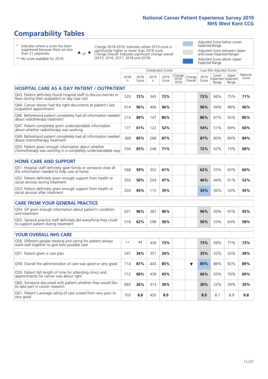Unadjusted Scores **Case Mix Adjusted Scores** 

# **Comparability Tables**

\* Indicates where a score has been suppressed because there are less than 21 responses.

 $\triangle$  or  $\nabla$ 

Change 2018-2019: Indicates where 2019 score is significantly higher or lower than 2018 score Change Overall: Indicates significant change overall (2015, 2016, 2017, 2018 and 2019).

Adjusted Score below Lower Expected Range Adjusted Score between Upper and Lower Expected Ranges Adjusted Score above Upper Expected Range

|  | ** No score available for 2018. |  |
|--|---------------------------------|--|
|  |                                 |  |

|                                                                                                                       | 2018<br>n | 2018<br>Score | 2019<br>n. | 2019<br>Score | Change<br>$2018 -$<br>2019 | Change<br>Overall | 2019<br>Score | Lower<br>Range | Upper<br>Expected Expected<br>Range | National<br>Score |
|-----------------------------------------------------------------------------------------------------------------------|-----------|---------------|------------|---------------|----------------------------|-------------------|---------------|----------------|-------------------------------------|-------------------|
| <b>HOSPITAL CARE AS A DAY PATIENT / OUTPATIENT</b>                                                                    |           |               |            |               |                            |                   |               |                |                                     |                   |
| Q43. Patient definitely found hospital staff to discuss worries or<br>fears during their outpatient or day case visit | 520       | 72%           | 343        | 72%           |                            |                   | 72%           | 66%            | 75%                                 | 71%               |
| Q44. Cancer doctor had the right documents at patient's last<br>outpatient appointment                                | 614       | 96%           | 406        | 96%           |                            |                   | 96%           | 94%            | 98%                                 | 96%               |
| Q46. Beforehand patient completely had all information needed<br>about radiotherapy treatment                         | 214       | 89%           | 147        | 86%           |                            |                   | 86%           | 81%            | 92%                                 | 86%               |
| Q47. Patient completely given understandable information<br>about whether radiotherapy was working                    | 177       | 61%           | 122        | 52%           |                            |                   | 54%           | 51%            | 69%                                 | 60%               |
| Q49. Beforehand patient completely had all information needed<br>about chemotherapy treatment                         | 369       | 85%           | 268        | 87%           |                            |                   | 87%           | 80%            | 89%                                 | 84%               |
| Q50. Patient given enough information about whether<br>chemotherapy was working in a completely understandable way    | 334       | 65%           | 248        | 71%           |                            |                   | 72%           | 62%            | 73%                                 | 68%               |
| <b>HOME CARE AND SUPPORT</b>                                                                                          |           |               |            |               |                            |                   |               |                |                                     |                   |
| Q51. Hospital staff definitely gave family or someone close all<br>the information needed to help care at home        | 568       | 59%           | 352        | 61%           |                            |                   | 62%           | 55%            | 65%                                 | 60%               |
| Q52. Patient definitely given enough support from health or<br>social services during treatment                       | 350       | 50%           | 204        | 47%           |                            |                   | 46%           | 44%            | 61%                                 | 52%               |
| Q53. Patient definitely given enough support from health or<br>social services after treatment                        | 203       | 45%           | 115        | 35%           |                            |                   | 35%           | 36%            | 54%                                 | 45%               |
| <b>CARE FROM YOUR GENERAL PRACTICE</b>                                                                                |           |               |            |               |                            |                   |               |                |                                     |                   |
| Q54. GP given enough information about patient's condition<br>and treatment                                           | 631       | 96%           | 387        | 96%           |                            |                   | 96%           | 93%            | 97%                                 | 95%               |
| Q55. General practice staff definitely did everything they could<br>to support patient during treatment               | 518       | 62%           | 298        | 56%           |                            |                   | 56%           | 53%            | 64%                                 | 58%               |
| <b>YOUR OVERALL NHS CARE</b>                                                                                          |           |               |            |               |                            |                   |               |                |                                     |                   |
| Q56. Different people treating and caring for patient always<br>work well together to give best possible care         | $* *$     | **            | 428        | 73%           |                            |                   | 73%           | 69%            | 77%                                 | 73%               |
| Q57. Patient given a care plan                                                                                        | 547       | 34%           | 351        | 34%           |                            |                   | 35%           | 32%            | 43%                                 | 38%               |
| Q58. Overall the administration of care was good or very good                                                         | 714       | 87%           | 443        | 85%           |                            | ▼                 | 85%           | 86%            | 92%                                 | 89%               |
| Q59. Patient felt length of time for attending clinics and<br>appointments for cancer was about right                 | 712       | 68%           | 439        | 65%           |                            |                   | 66%           | 63%            | 76%                                 | 69%               |
| Q60. Someone discussed with patient whether they would like<br>to take part in cancer research                        | 683       | 26%           | 413        | 30%           |                            |                   | 30%           | 22%            | 39%                                 | 30%               |
| Q61. Patient's average rating of care scored from very poor to<br>very good                                           | 703       | 8.8           | 435        | 8.9           |                            |                   | 8.9           | 8.7            | 8.9                                 | 8.8               |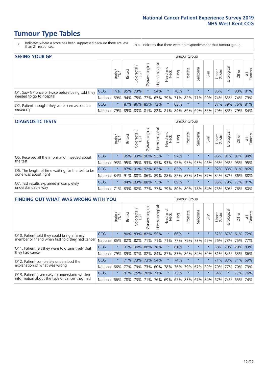# **Tumour Type Tables**

- \* Indicates where a score has been suppressed because there are less than 21 responses.
- n.a. Indicates that there were no respondents for that tumour group.

| <b>SEEING YOUR GP</b>                           |                                                                  |              |               |            |                     |                 |                  |      | Tumour Group |         |      |                 |                                 |                                                 |                |
|-------------------------------------------------|------------------------------------------------------------------|--------------|---------------|------------|---------------------|-----------------|------------------|------|--------------|---------|------|-----------------|---------------------------------|-------------------------------------------------|----------------|
|                                                 |                                                                  | Brain<br>CNS | <b>Breast</b> | Colorectal | ত<br>aecologic<br>Š | Haematological  | Head and<br>Neck | Lung | Prostate     | Sarcoma | Skin | Upper<br>Gastro | $\overline{\sigma}$<br>rologica | Other                                           | All<br>Cancers |
| Q1. Saw GP once or twice before being told they | CCG                                                              | n.a.         |               | 95% 73%    |                     | 54%             | $\star$          | 70%  | $\star$      | $\star$ |      | 86%             |                                 | 90% 81%                                         |                |
| needed to go to hospital                        | National 59% 94% 75% 77% 67% 79% 71% 82% 71% 90% 74% 83% 74% 79% |              |               |            |                     |                 |                  |      |              |         |      |                 |                                 |                                                 |                |
| Q2. Patient thought they were seen as soon as   | <b>CCG</b>                                                       | $\star$      |               |            |                     | 87% 86% 85% 72% | $\star$          | 68%  | $\star$      | $\star$ |      |                 |                                 | 87% 79% 76% 81%                                 |                |
| necessary                                       | National                                                         | 79%          |               |            |                     |                 |                  |      |              |         |      |                 |                                 | 89% 83% 81% 82% 81% 84% 86% 69% 85% 79% 85% 79% | 84%            |

#### **DIAGNOSTIC TESTS** Tumour Group

|                                                   |                                                                  | Brain   | <b>Breast</b> | Colorectal<br>LGT | $\overline{\sigma}$<br>Gynaecologic | Haematological | Head and<br>Neck | Lung | Prostate | Sarcoma                 | Skin | Upper<br>Gastro | rological                                               | Other | All<br>Cancers |
|---------------------------------------------------|------------------------------------------------------------------|---------|---------------|-------------------|-------------------------------------|----------------|------------------|------|----------|-------------------------|------|-----------------|---------------------------------------------------------|-------|----------------|
| Q5. Received all the information needed about     | CCG                                                              | $\star$ |               | 95% 93%           | 96%                                 | 92%            | $\star$          | 97%  | $\star$  | $\star$                 |      |                 | 96% 91% 97% 94%                                         |       |                |
| the test                                          | National                                                         | 93%     |               | 95% 95%           |                                     |                |                  |      |          | 93% 95% 93% 95% 95% 93% | 96%  | 95%             |                                                         |       | 95% 95% 95%    |
| Q6. The length of time waiting for the test to be | <b>CCG</b>                                                       | $\star$ |               | 87% 91%           | 92%                                 | 83%            | $\star$          | 83%  | $\star$  | $\star$                 |      |                 | 92% 83% 81% 86%                                         |       |                |
| done was about right                              | National                                                         |         |               |                   |                                     |                |                  |      |          |                         |      |                 | 84% 91% 88% 86% 89% 88% 87% 87% 81% 87% 84% 87% 86% 88% |       |                |
| Q7. Test results explained in completely          | <b>CCG</b>                                                       | $\star$ |               | 84% 83% 88% 73%   |                                     |                | $\star$          | 89%  | $\star$  | $\star$                 |      |                 | 85% 79% 77% 81%                                         |       |                |
| understandable way                                | National 71% 83% 82% 77% 77% 79% 80% 80% 78% 84% 75% 80% 76% 80% |         |               |                   |                                     |                |                  |      |          |                         |      |                 |                                                         |       |                |

| <b>FINDING OUT WHAT WAS WRONG WITH YOU</b>        |            |         |               |                        |                |                    |                        |         | <b>Tumour Group</b> |         |         |                 |            |         |                |
|---------------------------------------------------|------------|---------|---------------|------------------------|----------------|--------------------|------------------------|---------|---------------------|---------|---------|-----------------|------------|---------|----------------|
|                                                   |            | Brain   | <b>Breast</b> | olorectal.<br>LGT<br>Û | Gynaecological | aematological<br>Ĩ | ad and<br>Neck<br>Head | Lung    | Prostate            | Sarcoma | Skin    | Upper<br>Gastro | Irological | Other   | All<br>Cancers |
| Q10. Patient told they could bring a family       | CCG        | $\star$ | $80\%$        | 83%                    | 82%            | 55%                | $\star$                | 66%     | $\star$             | $\star$ | $\star$ | 52%             | 87%        | 61% 72% |                |
| member or friend when first told they had cancer  | National   | 85%     | 82%           | 82%                    | 71%            | 71%                | 71%                    | 77%     | 79%                 | 73%     | 69%     | 76%             | 73%        | 75%     | 77%            |
| Q11. Patient felt they were told sensitively that | CCG        | $\star$ | 91%           | 90%                    | 88%            | 78%                | $\star$                | 81%     | $\star$             | $\star$ | $\star$ | 58%             | 79%        | 79%     | 83%            |
| they had cancer                                   | National   | 79%     |               |                        | 89% 87% 82%    | 84% 87%            |                        | 83% 86% |                     | 84%     | 89%     | 81%             |            | 84% 83% | 86%            |
| Q12. Patient completely understood the            | <b>CCG</b> | $\star$ | 71%           | 73%                    | 73%            | 54%                | $\star$                | 74%     | $\star$             | $\star$ |         | 71%             |            | 83% 71% | 69%            |
| explanation of what was wrong                     | National   | 66%     | 77%           | 79%                    | 73%            | 60%                |                        | 78% 76% | 79%                 | 67%     | 80%     | 70%             | 77%        | 70%     | 73%            |
| Q13. Patient given easy to understand written     | CCG        | $\star$ | 81%           | 75%                    | 78%            | 71%                | $\star$                | 73%     | $\star$             | $\star$ | $\star$ | 64%             | $\star$    | 77%     | 76%            |
| information about the type of cancer they had     | National   | 66%     | 78%           | 73%                    | 71%            | 76%                | 69%                    | 67% 83% |                     |         | 67% 84% | 67%             | 74%        | 65%     | 74%            |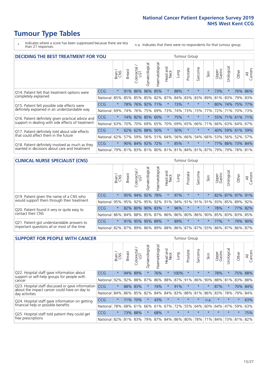# **Tumour Type Tables**

- \* Indicates where a score has been suppressed because there are less than 21 responses.
- n.a. Indicates that there were no respondents for that tumour group.

| <b>DECIDING THE BEST TREATMENT FOR YOU</b>         |            |         |               |                       |                |                |                        |      | <b>Tumour Group</b> |                                     |         |                 |            |                 |                |
|----------------------------------------------------|------------|---------|---------------|-----------------------|----------------|----------------|------------------------|------|---------------------|-------------------------------------|---------|-----------------|------------|-----------------|----------------|
|                                                    |            | Brain   | <b>Breast</b> | olorectal<br>LGT<br>Ũ | Gynaecological | Haematological | ad and<br>Neck<br>Head | Lung | Prostate            | Sarcoma                             | Skin    | Upper<br>Gastro | Jrological | Other           | All<br>Cancers |
| Q14. Patient felt that treatment options were      | CCG        | $\star$ | 91%           | 86%                   | 96%            | 85%            | $\star$                | 88%  | $\star$             | $\star$                             |         | 73%             | $\star$    | 76%             | 86%            |
| completely explained                               | National   | 85%     | 85%           | 85%                   |                | 85% 82%        | 87%                    | 84%  | 83%                 | 83%                                 | 89%     | 81%             | 83%        | 79% 83%         |                |
| Q15. Patient felt possible side effects were       | <b>CCG</b> | $\star$ | 78%           | 76%                   | 92%            | 171%           | $\star$                | 73%  | $\star$             | $\star$                             |         | 80%             | 74%        | 175%            | 77%            |
| definitely explained in an understandable way      | National   | 69%     | 74%           | 76%                   | 75%            | 69%            | 73%                    |      | 74% 73%             | 73%                                 | 77%     | 72%             | 71%        | 70% 73%         |                |
| Q16. Patient definitely given practical advice and | <b>CCG</b> | $\star$ | 74%           |                       | 82% 85%        | 60%            | $\star$                | 75%  | $\star$             | $\star$                             |         |                 |            | 55% 71% 61% 71% |                |
| support in dealing with side effects of treatment  | National   | 63%     | 70%           | 70%                   |                | 69% 65%        | 70%                    | 69%  | 65%                 | 66%                                 | 71%     | 66%             |            | 63% 64%         | 67%            |
| Q17. Patient definitely told about side effects    | <b>CCG</b> | $\star$ | 62%           | 62%                   | 88%            | 50%            | $\star$                | 50%  | $\star$             | $\star$                             | $\star$ | 40%             |            | 59% 61%         | 59%            |
| that could affect them in the future               | National   | 62%     | 57%           | 59%                   |                | 56% 51%        | 64%                    | 56%  | 66%                 | 54%                                 | 66%     | 53%             |            | 56% 52%         | 57%            |
| Q18. Patient definitely involved as much as they   | CCG        | $\star$ | 90%           |                       | 84% 92% 72%    |                | $\star$                | 85%  | $\star$             | $\star$                             | $\ast$  | 77%             |            | 88% 73% 84%     |                |
| wanted in decisions about care and treatment       | National   | 79%     |               |                       |                |                |                        |      |                     | 81% 83% 81% 80% 81% 81% 84% 81% 87% |         | 79%             |            | 79% 78% 81%     |                |

#### **CLINICAL NURSE SPECIALIST (CNS)** Tumour Group

|                                             |          | Brain                                           | <b>Breast</b>   | Colorectal<br>LGT | Gynaecologica | శా<br>aematologi | Head and<br>Neck | Lung        | Prostate | Sarcoma | Skin    | Upper<br>Gastro | $\sigma$<br>rologica | Other           | All<br>Cancers |
|---------------------------------------------|----------|-------------------------------------------------|-----------------|-------------------|---------------|------------------|------------------|-------------|----------|---------|---------|-----------------|----------------------|-----------------|----------------|
| Q19. Patient given the name of a CNS who    | CCG      | $\star$                                         |                 | 95% 94%           | 92%           | 78%              | $\star$          | 97%         |          | $\star$ |         |                 |                      | 82% 87% 97% 91% |                |
| would support them through their treatment  | National | 95%                                             | 95%             | 92%               | 95%           | 92%              | 91%              | 94% 91%     |          | 91% 91% |         | 93%             | 85%                  | 89%             | 92%            |
| Q20. Patient found it very or quite easy to | CCG      | $\star$                                         |                 | 82% 80%           | 90%           | 83%              | $\star$          | 96%         | $\star$  | $\star$ | $\star$ | 78%             |                      |                 | 77% 82%        |
| contact their CNS                           | National |                                                 | 86% 84% 88% 85% |                   |               | 87%              |                  | 86% 86% 80% |          |         |         | 86% 90% 85% 83% |                      | 83%             | 85%            |
| Q21. Patient got understandable answers to  | CCG      | $\star$                                         |                 |                   | 91% 95% 95%   | 89%              | $\star$          | 89%         | $\star$  | $\star$ | $\star$ | 77%             | $\star$              |                 | 79% 90%        |
| important questions all or most of the time | National | 82% 87% 89% 86% 89% 88% 86% 87% 87% 93% 86% 87% |                 |                   |               |                  |                  |             |          |         |         |                 |                      | 86%             | 87%            |

| <b>SUPPORT FOR PEOPLE WITH CANCER</b>                                                             |            |         |               |            |                |                |                        |             | <b>Tumour Group</b> |         |         |                 |            |         |                |
|---------------------------------------------------------------------------------------------------|------------|---------|---------------|------------|----------------|----------------|------------------------|-------------|---------------------|---------|---------|-----------------|------------|---------|----------------|
|                                                                                                   |            | Brain   | <b>Breast</b> | Colorectal | Gynaecological | Haematological | ad and<br>Neck<br>Head | Lung        | Prostate            | Sarcoma | Skin    | Upper<br>Gastro | Jrological | Other   | All<br>Cancers |
| Q22. Hospital staff gave information about                                                        | <b>CCG</b> | $\star$ | 94%           | 89%        | $\star$        | 76%            | $\ast$                 | 100%        | $\star$             | $\star$ | $\star$ | 78%             | $\star$    | 75%     | 88%            |
| support or self-help groups for people with<br>cancer                                             | National   | 92%     | 92%           | 88%        | 87%            | 86%            | 88%                    | 87%         | 91%                 | 86%     | 90%     | 88%             | 81%        | 83%     | 88%            |
| Q23. Hospital staff discussed or gave information<br>about the impact cancer could have on day to | CCG        | $\star$ | 88%           | 83%        | $\star$        | 74%            | $\star$                | 91%         | $\star$             | $\star$ | $\star$ | 87%             | $\star$    | 70%     | 84%            |
| day activities                                                                                    | National   | 84%     | 86%           | 85%        | 82%            | 84%            | 84%                    | 83%         | 88%                 | 81%     | 86%     | 83%             | 78%        | 79%     | 84%            |
| Q24. Hospital staff gave information on getting                                                   | CCG        | $\star$ | 71%           | 70%        | $\star$        | 43%            | $\ast$                 | $\star$     | $\star$             | $\star$ | n.a.    | $\star$         | $\star$    | $\ast$  | 63%            |
| financial help or possible benefits                                                               | National   | 78%     | 68%           | 61%        | 66%            | 61%            | 67%                    | 72%         | 55%                 | 64%     | 60%     | 64%             | 47%        | 59%     | 63%            |
| Q25. Hospital staff told patient they could get                                                   | CCG        | $\star$ | 73%           | 88%        | $\star$        | 68%            | $\star$                | $\star$     | $\star$             | $\star$ |         | $\star$         | $\star$    | $\star$ | 75%            |
| free prescriptions                                                                                | National   | 82%     | 81%           | 83%        | 79%            | 87%            |                        | 84% 86% 80% |                     | 78%     | 71%     | 84%             | 73%        | 81%     | 82%            |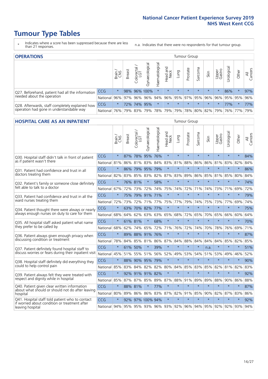# **Tumour Type Tables**

- \* Indicates where a score has been suppressed because there are less than 21 responses.
- n.a. Indicates that there were no respondents for that tumour group.

| <b>OPERATIONS</b>                                                                           |              |              |               |                   |                     |                |                  |             | Tumour Group |         |                     |                 |            |                                     |                |  |  |
|---------------------------------------------------------------------------------------------|--------------|--------------|---------------|-------------------|---------------------|----------------|------------------|-------------|--------------|---------|---------------------|-----------------|------------|-------------------------------------|----------------|--|--|
|                                                                                             |              | Brain<br>CNS | <b>Breast</b> | Colorectal<br>LGT | ᠊ᢛ<br>Gynaecologic  | Haematological | Head and<br>Neck | <b>Dung</b> | Prostate     | Sarcoma | Skin                | Upper<br>Gastro | Jrological | Other                               | All<br>Cancers |  |  |
| Q27. Beforehand, patient had all the information                                            | CCG          | $\star$      |               |                   | 98% 96% 100%        | $\star$        | $\star$          | $\star$     | $\star$      | $\star$ | $\star$             | $\star$         | 86%        | $\ast$                              | 97%            |  |  |
| needed about the operation                                                                  | National     | $96\%$       |               |                   | 97% 96% 96%         |                |                  |             |              |         |                     |                 |            | 94% 96% 95% 97% 95% 96% 96% 95% 95% | 96%            |  |  |
| Q28. Afterwards, staff completely explained how<br>operation had gone in understandable way | <b>CCG</b>   | $\star$      |               | 72% 74%           | 95%                 |                | $\star$          | $\star$     | $\star$      | $\star$ | $\star$             | $\star$         | 77%        | $\star$                             | 77%            |  |  |
|                                                                                             | National 76% |              |               |                   | 79% 83% 79% 78% 79% |                |                  |             |              |         | 79% 78% 80% 82% 79% |                 |            | 76% 77%                             | 79%            |  |  |

#### **HOSPITAL CARE AS AN INPATIENT** Tumour Group

|                                                                                                   |          | Brain   | Breast  | $\overline{\phantom{0}}$<br>Colorectal /<br>LGT | Gynaecological  | Haematological | Head and<br>Neck | Lung        | Prostate | Sarcoma | Skin    | Upper<br>Gastro | Urological                                  | Other   | All<br>Cancers |
|---------------------------------------------------------------------------------------------------|----------|---------|---------|-------------------------------------------------|-----------------|----------------|------------------|-------------|----------|---------|---------|-----------------|---------------------------------------------|---------|----------------|
| Q30. Hospital staff didn't talk in front of patient                                               | CCG      | $\star$ | 87%     | 78%                                             | 95%             | 76%            | $\star$          | $\star$     | $\star$  | $\star$ | $\star$ | $\star$         | $\star$                                     | $\star$ | 84%            |
| as if patient wasn't there                                                                        | National | 81%     | 86%     | 81%                                             | 83%             | 84%            | 83%              | 81%         | 88%      | 86%     | 86%     | 81%             | 83%                                         | 82%     | 84%            |
| Q31. Patient had confidence and trust in all<br>doctors treating them                             | CCG      | $\star$ | 86%     | 79%                                             | 95%             | 79%            | $\star$          | $\star$     | $\star$  | $\star$ | $\star$ | $\star$         | $\star$                                     | $\star$ | 86%            |
|                                                                                                   | National | 82%     |         | 83% 85%                                         | 83%             | 82%            |                  | 87% 83%     | 89%      | 86%     | 85%     | 81%             | 85%                                         | 80%     | 84%            |
| Q32. Patient's family or someone close definitely                                                 | CCG      | $\star$ | 76% 81% |                                                 | $\star$         | 58%            | $\star$          | $\star$     | $\star$  | $\star$ | $\star$ | $\star$         | $\star$                                     | $\star$ | 74%            |
| felt able to talk to a doctor                                                                     | National | 67%     | 72%     | 73%                                             | 72%             | 74%            | 75%              | 74%         | 72%      | 71%     | 74%     | 73%             | 71%                                         | 69%     | 72%            |
| Q33. Patient had confidence and trust in all the                                                  | CCG      | $\star$ |         | 75% 79%                                         | 91% 71%         |                | $\star$          | $\star$     | $\star$  | $\star$ | $\star$ | $\star$         | $\star$                                     | $\star$ | 79%            |
| ward nurses treating them                                                                         | National | 72%     | 73%     | 72%                                             |                 | 71% 77%        |                  | 75% 77%     | 79%      | 74%     | 75%     | 73%             | 77%                                         | 69%     | 74%            |
| Q34. Patient thought there were always or nearly<br>always enough nurses on duty to care for them | CCG      | $\star$ | 63%     | 70% 82%                                         |                 | 77%            | $\star$          | $\star$     | $\star$  | $\star$ | $\star$ | $\star$         | $\star$                                     | $\star$ | 75%            |
|                                                                                                   | National | 68%     | 64%     | 62%                                             | 63%             | 63%            | 65%              | 68%         | 72%      | 65%     | 70%     | 65%             | 66%                                         | 60%     | 64%            |
| Q35. All hospital staff asked patient what name                                                   | CCG      | $\star$ |         | 61% 81%                                         | $\star$         | 68%            | $\star$          | $\star$     | $\star$  | $\star$ | $\star$ | $\star$         | $\star$                                     | $\star$ | 70%            |
| they prefer to be called by                                                                       | National | 68%     | 62%     | 74%                                             | 65%             | 72%            |                  | 71% 76%     | 72%      | 74%     | 70%     | 78%             | 76%                                         | 69%     | 71%            |
| Q36. Patient always given enough privacy when                                                     | CCG      | $\star$ | 89%     | 88% 91%                                         |                 | 76%            | $\star$          | $\star$     | $\star$  | $\star$ | $\star$ | $\star$         | $\star$                                     | $\star$ | 87%            |
| discussing condition or treatment                                                                 | National | 78%     |         | 84% 85% 81%                                     |                 |                |                  | 86% 87% 84% | 88%      | 84%     | 84%     | 84%             | 85%                                         | 82%     | 85%            |
| Q37. Patient definitely found hospital staff to                                                   | CCG      | $\star$ | 61%     | 50%                                             | $\star$         | 39%            | $\star$          | $\star$     | $\star$  | $\star$ | n.a.    | $\star$         | $\star$                                     | $\star$ | 51%            |
| discuss worries or fears during their inpatient visit                                             | National | 45%     |         | 51% 55%                                         | 51%             |                |                  | 56% 52% 49% | 53%      | 54%     | 51%     | 53%             | 49%                                         | 46%     | 52%            |
| Q38. Hospital staff definitely did everything they                                                | CCG      | $\star$ |         | 88% 90% 95%                                     |                 | 79%            | $\star$          | $\star$     | $\star$  | $\star$ | $\star$ | $\star$         | $\star$                                     | $\star$ | 90%            |
| could to help control pain                                                                        | National | 85%     | 83%     | 84%                                             | 82%             | 82%            | 80%              | 84%         | 85%      | 83%     | 85%     | 82%             | 81%                                         | 82%     | 83%            |
| Q39. Patient always felt they were treated with                                                   | CCG      | $\star$ |         |                                                 | 92% 91% 91% 82% |                | $\star$          | $\star$     | $\star$  | $\star$ | $\star$ | $\star$         | $\star$                                     | $\star$ | 92%            |
| respect and dignity while in hospital                                                             | National | 85%     |         | 87% 87%                                         | 85%             |                | 89% 87%          | 88%         | 91%      | 89%     | 89%     | 88%             | 90%                                         | 86%     | 88%            |
| Q40. Patient given clear written information<br>about what should or should not do after leaving  | CCG      | $\star$ | 88% 81% |                                                 | $\star$         | 77%            | $\star$          | $\star$     | $\star$  | $\star$ | $\star$ | $\star$         | $\star$                                     | $\star$ | 87%            |
| hospital                                                                                          | National | 80%     | 89%     | 86%                                             | 86%             | 83%            |                  | 87% 82%     | 91%      | 85%     | 90%     | 82%             | 87%                                         | 83%     | 86%            |
| Q41. Hospital staff told patient who to contact<br>if worried about condition or treatment after  | CCG      | $\star$ | 92%     |                                                 | 97% 100% 94%    |                | $\star$          | $\star$     | $\star$  | $\star$ | $\star$ | $\star$         | $\star$                                     | $\star$ | 92%            |
| leaving hospital                                                                                  | National | 94%     |         |                                                 |                 |                |                  |             |          |         |         |                 | 95% 95% 93% 96% 93% 92% 96% 94% 95% 92% 92% | 93%     | 94%            |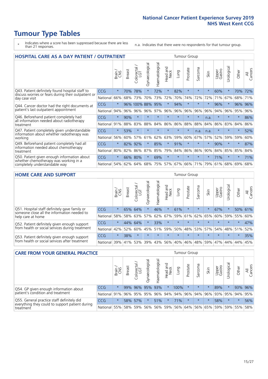# **Tumour Type Tables**

- \* Indicates where a score has been suppressed because there are less than 21 responses.
- n.a. Indicates that there were no respondents for that tumour group.

| HOSPITAL CARE AS A DAY PATIENT / OUTPATIENT                                                                           | <b>Tumour Group</b> |         |               |                 |                |                       |                         |         |          |                  |         |                 |            |         |                |
|-----------------------------------------------------------------------------------------------------------------------|---------------------|---------|---------------|-----------------|----------------|-----------------------|-------------------------|---------|----------|------------------|---------|-----------------|------------|---------|----------------|
|                                                                                                                       |                     | Brain   | <b>Breast</b> | ╮<br>Colorectal | Gynaecological | <b>Haematological</b> | ead and<br>Neck<br>Head | Lung    | Prostate | arcoma<br>$\sim$ | Skin    | Upper<br>Gastro | Urological | Other   | All<br>Cancers |
| Q43. Patient definitely found hospital staff to                                                                       | CCG                 | $\star$ | 70%           | 78%             | $\star$        | 72%                   | $\star$                 | 82%     | $\star$  | $\star$          | $\star$ | 60%             | $\star$    | 70%     | 72%            |
| discuss worries or fears during their outpatient or<br>day case visit                                                 | National            | 66%     | 68%           | 73%             | 70%            | 73%                   | 72%                     | 70%     | 74%      | 72%              | 72%     | 71%             | 67%        | 68%     | 71%            |
| Q44. Cancer doctor had the right documents at<br>patient's last outpatient appointment                                | CCG                 | $\star$ |               | 96% 100% 88%    |                | 95%                   | $\star$                 | 94%     | $\star$  | 大                |         | 96%             | $\star$    | 96%     | 96%            |
|                                                                                                                       | National            | 94%     | 96%           | 96%             | 96%            | 97%                   | 96%                     | 96%     | 96%      | 96%              | 96%     | 94%             | 96%        | 95%     | 96%            |
| Q46. Beforehand patient completely had                                                                                | <b>CCG</b>          | $\star$ | 90%           | $\star$         | $\star$        | $\star$               | $\star$                 | $\star$ | $\star$  | $\star$          | n.a.    | $\star$         | $\star$    | $\star$ | 86%            |
| all information needed about radiotherapy<br>treatment                                                                | National            | 91%     | 88%           | 83%             | 88%            | 84%                   | 86%                     | 86%     | 88%      | 88%              | 84%     | 86%             | 83%        | 84%     | 86%            |
| Q47. Patient completely given understandable                                                                          | CCG                 | $\star$ | 53%           |                 |                |                       | $\star$                 | $\star$ | $\star$  | n.a.             | n.a.    | $\star$         | $\star$    | $\star$ | 52%            |
| information about whether radiotherapy was<br>working                                                                 | National            | 56%     | 60%           | 57%             | 61%            | 62%                   | 63%                     | 59%     | 60%      | 67%              | 57%     | 52%             | 59%        | 59%     | 60%            |
| Q49. Beforehand patient completely had all                                                                            | CCG                 | $\star$ | 82%           | 92%             | $\star$        | 85%                   | $\star$                 | 91%     | $\star$  | $\star$          |         | 90%             | $\star$    | $\star$ | 87%            |
| information needed about chemotherapy<br>treatment                                                                    | National            | 80%     | 82%           | 86%             | 87%            | 85%                   | 79%                     | 84%     | 86%      | 86%              | 90%     | 84%             | 85%        | 85%     | 84%            |
| Q50. Patient given enough information about<br>whether chemotherapy was working in a<br>completely understandable way | CCG                 | $\star$ | 66%           | 80%             | $\star$        | 69%                   | $\star$                 | $\star$ | $\star$  | $\star$          | $\star$ | 71%             | $\star$    | $\star$ | 71%            |
|                                                                                                                       | National            | 54%     | 62%           | 64%             | 68%            | 75%                   | 57%                     | 67%     | 66%      | 71%              | 79%     | 61%             | 68%        | 69%     | 68%            |

#### **HOME CARE AND SUPPORT** Tumour Group

|                                                                                                                   |            | Brain   | <b>Breast</b> | Colorectal<br>LGT | ᢛ<br>Gynaecologic | Haematological | Head and<br>Neck | <b>Dung</b> | Prostate | Sarcoma | Skin    | Upper<br>Gastro | rological | Other   | All<br>Cancers |
|-------------------------------------------------------------------------------------------------------------------|------------|---------|---------------|-------------------|-------------------|----------------|------------------|-------------|----------|---------|---------|-----------------|-----------|---------|----------------|
| Q51. Hospital staff definitely gave family or<br>someone close all the information needed to<br>help care at home | <b>CCG</b> | $\star$ |               | 65% 64%           |                   | 46%            | $\star$          | 61%         | $\star$  | $\star$ | $\star$ | 67%             | $\star$   | 50%     | 61%            |
|                                                                                                                   | National   | 58%     |               | 58% 63%           | 57%               | 62%            | 67%              | 59%         | 61%      |         | 62% 65% |                 | 60% 59%   | 55%     | 60%            |
| Q52. Patient definitely given enough support<br>from health or social services during treatment                   | <b>CCG</b> | $\star$ | 44% 64%       |                   | $\star$           | 33%            | $\star$          | $\star$     | $\star$  |         |         | $\star$         | $\star$   | $\star$ | 47%            |
|                                                                                                                   | National   | 42%     | 52%           | 60%               |                   | 45% 51%        | 59%              | 50%         | 48%      |         | 53% 57% | 54%             | 48% 51%   |         | 52%            |
| Q53. Patient definitely given enough support<br>from health or social services after treatment                    | <b>CCG</b> | $\star$ | 38%           |                   | $\star$           | $\star$        | $\star$          | $\star$     | $\star$  | $\star$ | $\star$ | $\star$         | $\star$   | $\star$ | 35%            |
|                                                                                                                   | National   | 39%     | 41% 53%       |                   | 39%               | $ 43\% $       | 56%              | 40%         | 46%      | 48%     | 59%     | 47%             | 44%       | 44%     | 45%            |

| <b>CARE FROM YOUR GENERAL PRACTICE</b>                                      |              |                 |               |                   |                |                |                  |                         | Tumour Group |         |         |                 |            |         |                |  |  |
|-----------------------------------------------------------------------------|--------------|-----------------|---------------|-------------------|----------------|----------------|------------------|-------------------------|--------------|---------|---------|-----------------|------------|---------|----------------|--|--|
|                                                                             |              | Brain           | <b>Breast</b> | Colorectal<br>LGT | Gynaecological | Haematological | Head and<br>Neck | Lung                    | Prostate     | Sarcoma | Skin    | Upper<br>Gastro | Urological | Other   | All<br>Cancers |  |  |
| Q54. GP given enough information about<br>patient's condition and treatment | <b>CCG</b>   | $\star$         |               | 99% 96%           |                | 95% 93%        | $\star$          | 100%                    | $\star$      | $\star$ |         | 89%             | $\star$    |         | 93% 96%        |  |  |
|                                                                             | National 91% |                 |               | 96% 95%           | 95%            |                |                  | 96% 94% 94% 96% 94% 96% |              |         |         |                 | 93% 95%    | 94% 95% |                |  |  |
| Q55. General practice staff definitely did                                  | <b>CCG</b>   | $\star$         |               | 58% 57%           | $\star$        | 51%            | $\star$          | 71%                     | $\star$      | $\star$ | $\star$ | 58%             | $\star$    | $\star$ | 56%            |  |  |
| everything they could to support patient during<br>treatment                |              | 55%<br>National |               | 58% 59%           | 56%            |                | 56% 59%          |                         | 56% 64%      |         | 56% 65% | 59%             |            | 59% 55% | 58%            |  |  |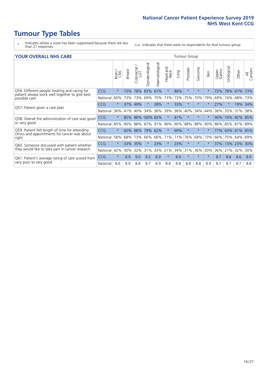# **Tumour Type Tables**

- \* Indicates where a score has been suppressed because there are less than 21 responses.
- n.a. Indicates that there were no respondents for that tumour group.

#### **YOUR OVERALL NHS CARE** THE CONSTRUCTION OF THE THROUP GROUP TUMOUR GROUP

| <u>UUN UTENTEE ITIIJ GANE</u>                                                                                    |            |              |               |                       |                |                |                                 |      |          |                      |         |                 |                            |                 |                |
|------------------------------------------------------------------------------------------------------------------|------------|--------------|---------------|-----------------------|----------------|----------------|---------------------------------|------|----------|----------------------|---------|-----------------|----------------------------|-----------------|----------------|
|                                                                                                                  |            | Brain<br>CNS | <b>Breast</b> | olorectal<br>LGT<br>Ū | Gynaecological | Haematological | <b>Bad and<br/>Neck</b><br>Head | Lung | Prostate | arcoma<br>$\sqrt{ }$ | Skin    | Upper<br>Gastro | $\overline{c}$<br>Urologia | Other           | All<br>Cancers |
| Q56. Different people treating and caring for<br>patient always work well together to give best<br>possible care | <b>CCG</b> | $\star$      | 73%           | 78%                   | 83%            | 61%            | $\star$                         | 88%  | $\star$  | $\star$              | $\star$ | 72%             | 78%                        | 67%             | 73%            |
|                                                                                                                  | National   | 60%          |               | 73% 73%               | 69%            | 75%            | 73%                             | 73%  | 75%      | 70%                  | 79%     | 69%             | 74%                        | 68%             | 73%            |
| Q57. Patient given a care plan                                                                                   | <b>CCG</b> | $\star$      | 37%           | 49%                   |                | 28%            | $\star$                         | 33%  | $\star$  | $\star$              | $\star$ | 27%             |                            | 19% 34%         |                |
|                                                                                                                  | National   | 36%          | 41%           | 40%                   | 34%            | 36%            | 39%                             | 36%  | 40%      | 34%                  | 44%     | 36%             | 33%                        | 31%             | 38%            |
| Q58. Overall the administration of care was good                                                                 | <b>CCG</b> | $\star$      | 85%           |                       | 88% 100% 82%   |                | $\star$                         | 81%  | $\star$  | $\star$              | $\star$ | 90%             | 74%                        | 82% 85%         |                |
| or very good                                                                                                     | National   | 85%          | $90\%$        | 88%                   | 87% 91%        |                | 90%                             | 90%  | 88%      | 88%                  | 90%     | 86%             | 85%                        | 87% 89%         |                |
| Q59. Patient felt length of time for attending<br>clinics and appointments for cancer was about                  | <b>CCG</b> | $\star$      | 60%           | 68%                   | 79% 62%        |                | $\star$                         | 69%  | $\star$  | $\star$              | $\star$ |                 |                            | 77% 63% 61% 65% |                |
| right                                                                                                            | National   | 58%          | 68%           | 73%                   | 66%            | 66%            | 71%                             | 71%  | 76%      | 68%                  | 73%     | 66%             | 75%                        | 64%             | 69%            |
| Q60. Someone discussed with patient whether                                                                      | <b>CCG</b> | $\star$      | 33%           | 35%                   |                | 23%            | $\star$                         | 23%  | $\star$  | $\star$              | $\star$ | 37%             | 13%                        | 23%             | 30%            |
| they would like to take part in cancer research                                                                  | National   | 42%          | 30%           | 32%                   | 31%            | 33%            | 21%                             | 34%  | 31%      | 36%                  | 20%     | 36%             | 21%                        | 32%             | 30%            |
| Q61. Patient's average rating of care scored from<br>very poor to very good                                      | CCG        | $\star$      | 8.9           | 9.0                   | 9.2            | 8.9            | $\star$                         | 8.9  | $\star$  | $\star$              | $\star$ | 8.7             | 8.6                        | 8.6             | 8.9            |
|                                                                                                                  | National   | 8.6          | 8.9           | 8.8                   | 8.7            | 8.9            | 8.8                             | 8.8  | 8.8      | 8.8                  | 8.9     | 8.7             | 8.7                        | 8.7             | 8.8            |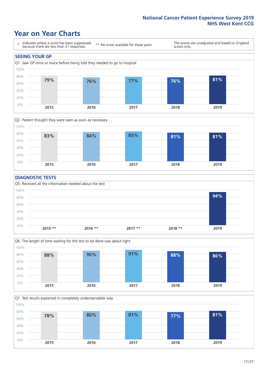### **Year on Year Charts**





#### **DIAGNOSTIC TESTS**





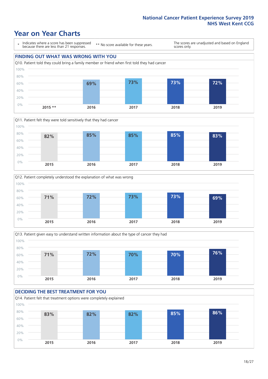### **Year on Year Charts**

\* Indicates where a score has been suppressed because there are less than 21 responses.

\*\* No score available for these years.

The scores are unadjusted and based on England scores only.









#### **DECIDING THE BEST TREATMENT FOR YOU**

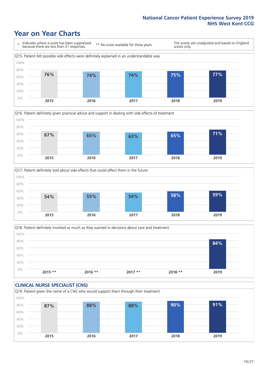### **Year on Year Charts**







Q18. Patient definitely involved as much as they wanted in decisions about care and treatment  $0%$ 20% 40% 60% 80% 100% **2015 \*\* 2016 \*\* 2017 \*\* 2018 \*\* 2019 84%**

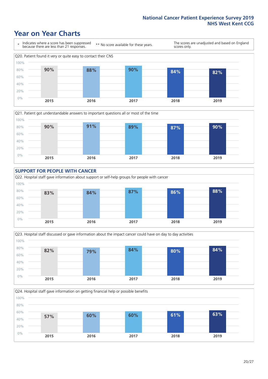### **Year on Year Charts**









Q24. Hospital staff gave information on getting financial help or possible benefits 0% 20% 40% 60% 80% 100% **2015 2016 2017 2018 2019 57% 60% 60% 61% 63%**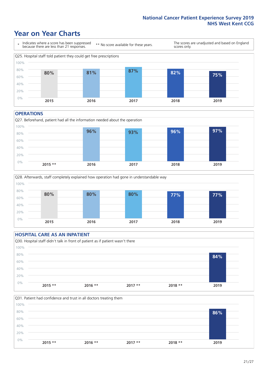### **Year on Year Charts**



#### **OPERATIONS**





#### **HOSPITAL CARE AS AN INPATIENT** Q30. Hospital staff didn't talk in front of patient as if patient wasn't there 0% 20% 40% 60% 80% 100% **2015 \*\* 2016 \*\* 2017 \*\* 2018 \*\* 2019 84%**

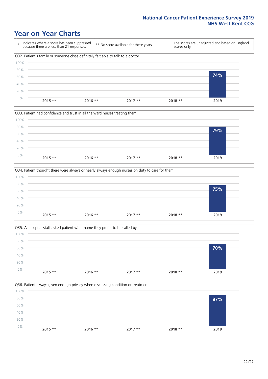### **Year on Year Charts**









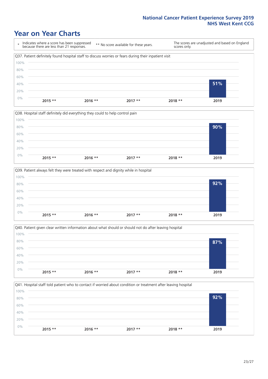### **Year on Year Charts**

\* Indicates where a score has been suppressed because there are less than 21 responses. \*\* No score available for these years. The scores are unadjusted and based on England scores only. Q37. Patient definitely found hospital staff to discuss worries or fears during their inpatient visit 0% 20% 40% 60% 80% 100% **2015 \*\* 2016 \*\* 2017 \*\* 2018 \*\* 2019 51%**







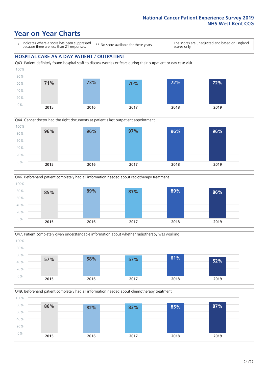### **Year on Year Charts**

\* Indicates where a score has been suppressed because there are less than 21 responses.

\*\* No score available for these years.

The scores are unadjusted and based on England scores only.

#### **HOSPITAL CARE AS A DAY PATIENT / OUTPATIENT**









Q49. Beforehand patient completely had all information needed about chemotherapy treatment

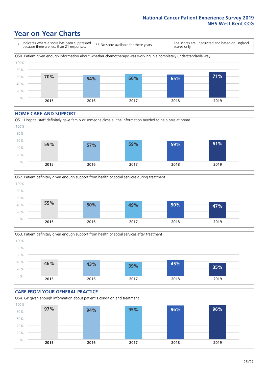## **Year on Year Charts**

\* Indicates where a score has been suppressed because there are less than 21 responses. \*\* No score available for these years. The scores are unadjusted and based on England scores only. Q50. Patient given enough information about whether chemotherapy was working in a completely understandable way 0% 20% 40% 60% 80% 100% **2015 2016 2017 2018 2019 70% 64% 66% 65% 71%**

#### **HOME CARE AND SUPPORT**







#### **CARE FROM YOUR GENERAL PRACTICE** Q54. GP given enough information about patient's condition and treatment 0% 20% 40% 60% 80% 100% **2015 2016 2017 2018 2019 97% 94% 95% 96% 96%**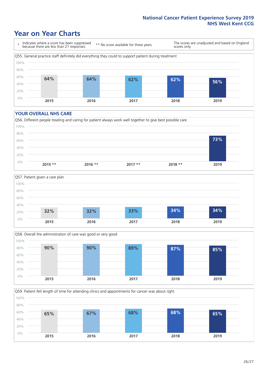### **Year on Year Charts**

\* Indicates where a score has been suppressed because there are less than 21 responses.

\*\* No score available for these years.

The scores are unadjusted and based on England scores only.



#### **YOUR OVERALL NHS CARE**







Q59. Patient felt length of time for attending clinics and appointments for cancer was about right